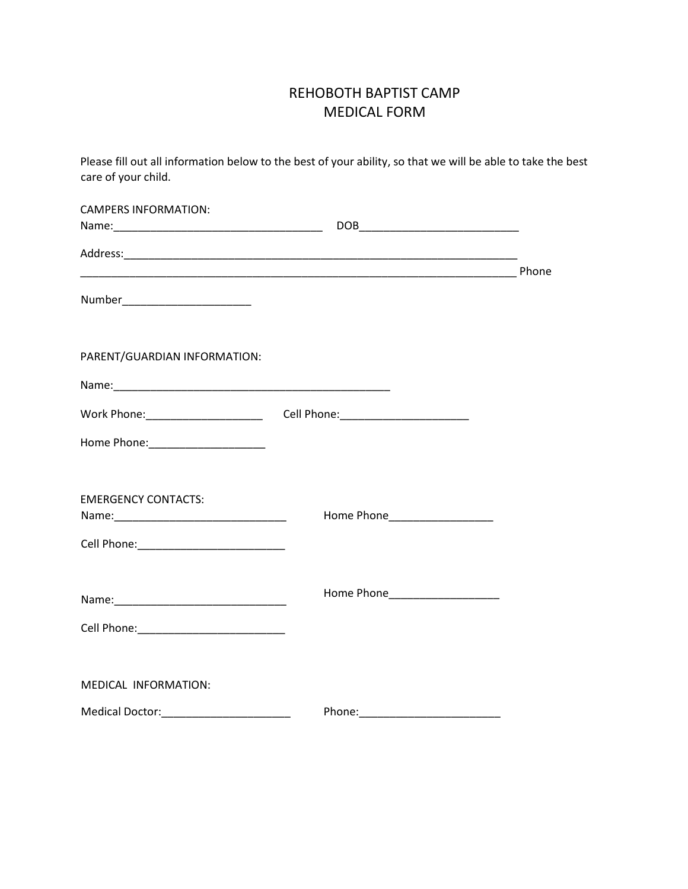## REHOBOTH BAPTIST CAMP MEDICAL FORM

Please fill out all information below to the best of your ability, so that we will be able to take the best care of your child.

| <b>CAMPERS INFORMATION:</b>             |                                                                                  |  |
|-----------------------------------------|----------------------------------------------------------------------------------|--|
|                                         |                                                                                  |  |
|                                         |                                                                                  |  |
| Number__________________________        |                                                                                  |  |
| PARENT/GUARDIAN INFORMATION:            |                                                                                  |  |
|                                         |                                                                                  |  |
|                                         | Work Phone: _______________________________Cell Phone: _________________________ |  |
| Home Phone: ________________________    |                                                                                  |  |
| <b>EMERGENCY CONTACTS:</b>              |                                                                                  |  |
|                                         | Home Phone____________________                                                   |  |
|                                         |                                                                                  |  |
| MEDICAL INFORMATION:                    |                                                                                  |  |
| Medical Doctor: _______________________ |                                                                                  |  |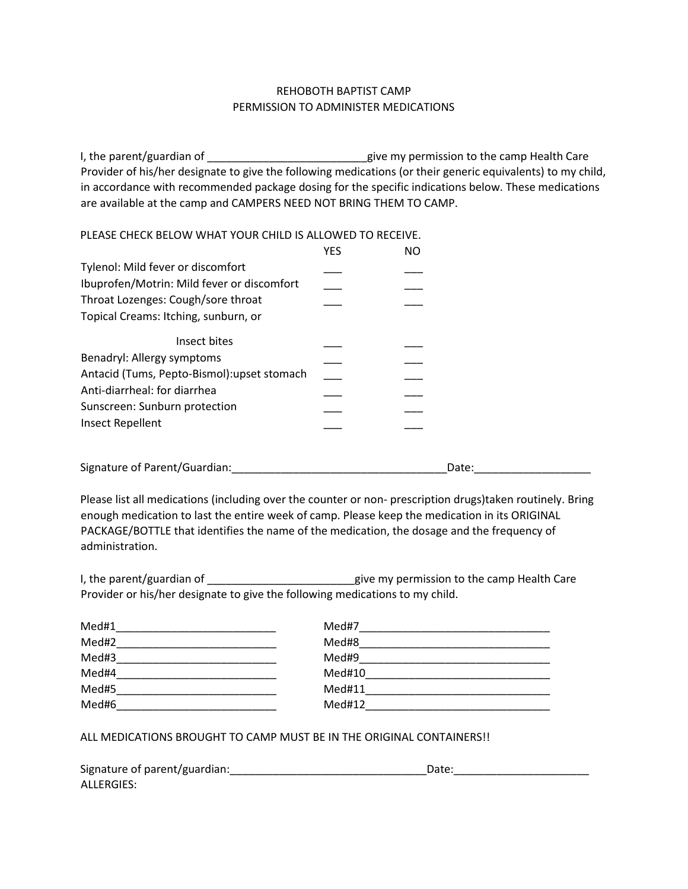## REHOBOTH BAPTIST CAMP PERMISSION TO ADMINISTER MEDICATIONS

I, the parent/guardian of \_\_\_\_\_\_\_\_\_\_\_\_\_\_\_\_\_\_\_\_\_\_\_\_\_\_give my permission to the camp Health Care Provider of his/her designate to give the following medications (or their generic equivalents) to my child, in accordance with recommended package dosing for the specific indications below. These medications are available at the camp and CAMPERS NEED NOT BRING THEM TO CAMP.

## PLEASE CHECK BELOW WHAT YOUR CHILD IS ALLOWED TO RECEIVE.

|                                                                                                                          | <b>YES</b> | <b>NO</b> |  |
|--------------------------------------------------------------------------------------------------------------------------|------------|-----------|--|
| Tylenol: Mild fever or discomfort                                                                                        |            |           |  |
| Ibuprofen/Motrin: Mild fever or discomfort<br>Throat Lozenges: Cough/sore throat<br>Topical Creams: Itching, sunburn, or |            |           |  |
| Insect bites                                                                                                             |            |           |  |
| Benadryl: Allergy symptoms                                                                                               |            |           |  |
| Antacid (Tums, Pepto-Bismol): upset stomach                                                                              |            |           |  |
| Anti-diarrheal: for diarrhea                                                                                             |            |           |  |
| Sunscreen: Sunburn protection                                                                                            |            |           |  |
| <b>Insect Repellent</b>                                                                                                  |            |           |  |
| Signature of Parent/Guardian:                                                                                            |            | Date:     |  |

Please list all medications (including over the counter or non- prescription drugs)taken routinely. Bring enough medication to last the entire week of camp. Please keep the medication in its ORIGINAL PACKAGE/BOTTLE that identifies the name of the medication, the dosage and the frequency of administration.

| I, the parent/guardian of                                                    | give my permission to the camp Health Care |
|------------------------------------------------------------------------------|--------------------------------------------|
| Provider or his/her designate to give the following medications to my child. |                                            |

| Med#1 | Med#7  |
|-------|--------|
| Med#2 | Med#8  |
| Med#3 | Med#9  |
| Med#4 | Med#10 |
| Med#5 | Med#11 |
| Med#6 | Med#12 |

ALL MEDICATIONS BROUGHT TO CAMP MUST BE IN THE ORIGINAL CONTAINERS!!

| Signature of parent/guardian: | Date: |
|-------------------------------|-------|
| ALLERGIES:                    |       |